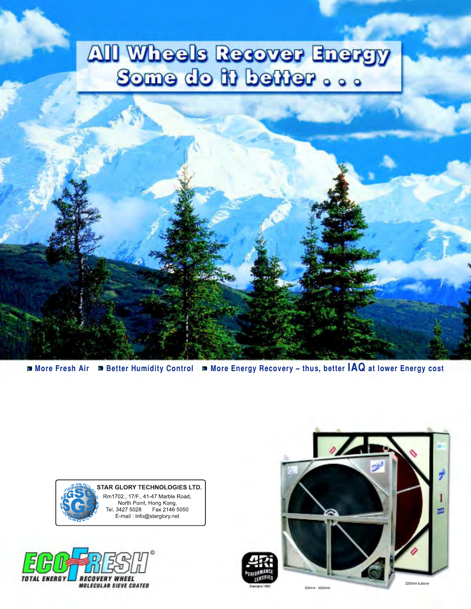# **All Wheels Recover Energy** Some do it better ...

More Fresh Air Detter Humidity Control D More Energy Recovery - thus, better IAQ at lower Energy cost

**STAR GLORY TECHNOLOGIES LTD.** Rm1702., 17/F., 41-47 Marble Road, North Point, Hong Kong. Tel. 3427 5028 Fax 2146 5050 E-mail: info@starglory.net



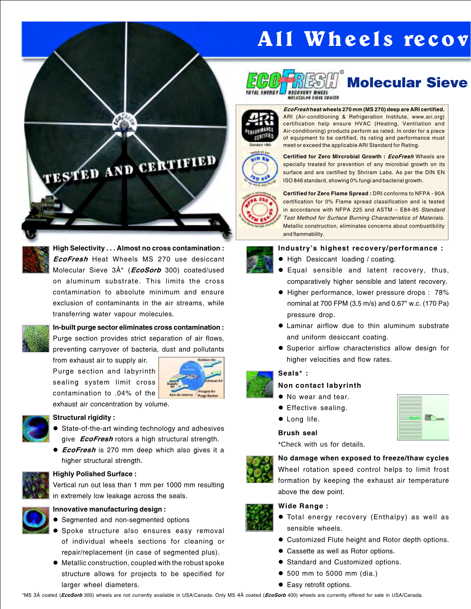# All Wheels recov



# **Molecular Sieve**



EcoFresh heat wheels 270 mm (MS 270) deep are ARI certified. ARI (Air-conditioning & Refrigeration Institute, www.ari.org) certification help ensure HVAC (Heating, Ventilation and Air-conditioning) products perform as rated. In order for a piece of equipment to be certified, its rating and performance must meet or exceed the applicable ARI Standard for Rating.



Certified for Zero Mircrobial Growth : EcoFresh Wheels are specially treated for prevention of any microbial growth on its surface and are certified by Shriram Labs. As per the DIN EN ISO 846 standard, showing 0% fungi and bacterial growth.

Certified for Zero Flame Spread : DRI conforms to NFPA - 90A certification for 0% Flame spread classification and is tested in accordance with NFPA 225 and ASTM - E84-95 Standard Test Method for Surface Burning Characteristics of Materials. Metallic construction, eliminates concerns about combustibility and flammability.

### Industry's highest recovery/performance :

- High Desiccant loading / coating.
- **e** Equal sensible and latent recovery, thus, comparatively higher sensible and latent recovery.
- Higher performance, lower pressure drops : 78% nominal at 700 FPM (3.5 m/s) and 0.67" w.c. (170 Pa) pressure drop.
- $\bullet$  Laminar airflow due to thin aluminum substrate and uniform desiccant coating.
- **.** Superior airflow characteristics allow design for higher velocities and flow rates.

### Seals\* :

### Non contact labyrinth

- No wear and tear.
- **•** Effective sealing.
- $\bullet$  Long life.

#### Brush seal

\*Check with us for details.



# No damage when exposed to freeze/thaw cycles

Wheel rotation speed control helps to limit frost formation by keeping the exhaust air temperature above the dew point.

### Wide Range :

- **Total energy recovery (Enthalpy) as well as** sensible wheels.
- **Customized Flute height and Rotor depth options.**
- **Cassette as well as Rotor options.**
- **Standard and Customized options.**
- 500 mm to 5000 mm (dia.)
- Easy retrofit options.

In-built purge sector eliminates cross contamination : Purge section provides strict separation of air flows, preventing carryover of bacteria, dust and pollutants

from exhaust air to supply air. Purge section and labyrinth sealing system limit cross contamination to .04% of the



exhaust air concentration by volume.



#### Structural rigidity :

- State-of-the-art winding technology and adhesives give **EcoFresh** rotors a high structural strength.
- **EcoFresh** is 270 mm deep which also gives it a higher structural strength.



### Highly Polished Surface : Vertical run out less than 1 mm per 1000 mm resulting

in extremely low leakage across the seals.



## Innovative manufacturing design :

- **•** Segmented and non-segmented options
- **.** Spoke structure also ensures easy removal of individual wheels sections for cleaning or repair/replacement (in case of segmented plus).
- $\bullet$  Metallic construction, coupled with the robust spoke structure allows for projects to be specified for larger wheel diameters.

\*MS 3Å coated (EcoSorb 300) wheels are not currently available in USA/Canada. Only MS 4Å coated (EcoSorb 400) wheels are currently offered for sale in USA/Canada.









High Selectivity . . . Almost no cross contamination : EcoFresh Heat Wheels MS 270 use desiccant

Molecular Sieve 3Å\* (*EcoSorb* 300) coated/used on aluminum substrate. This limits the cross contamination to absolute minimum and ensure exclusion of contaminants in the air streams, while transferring water vapour molecules.

TESTED AND CERTIFIED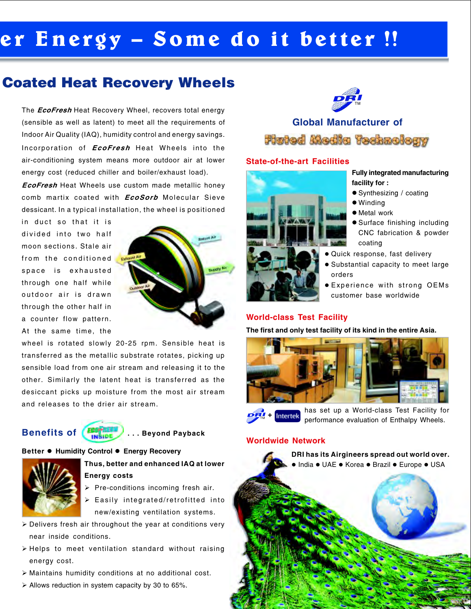# er Energy – Some do it better !!

# Coated Heat Recovery Wheels

The **EcoFresh** Heat Recovery Wheel, recovers total energy (sensible as well as latent) to meet all the requirements of Indoor Air Quality (IAQ), humidity control and energy savings. Incorporation of *EcoFresh* Heat Wheels into the air-conditioning system means more outdoor air at lower energy cost (reduced chiller and boiler/exhaust load).

**EcoFresh** Heat Wheels use custom made metallic honey comb martix coated with *EcoSorb* Molecular Sieve dessicant. In a typical installation, the wheel is positioned

in duct so that it is divided into two half moon sections. Stale air from the conditioned space is exhausted through one half while outdoor air is drawn through the other half in a counter flow pattern. At the same time, the



wheel is rotated slowly 20-25 rpm. Sensible heat is transferred as the metallic substrate rotates, picking up sensible load from one air stream and releasing it to the other. Similarly the latent heat is transferred as the desiccant picks up moisture from the most air stream and releases to the drier air stream.

# Benefits of  $\left(\frac{F_{\text{B}}}{\text{INSIDE}}\right)$ ... Beyond Payback



## Better · Humidity Control · Energy Recovery



## Thus, better and enhanced IAQ at lower Energy costs

- $\triangleright$  Pre-conditions incoming fresh air.
- $\triangleright$  Easily integrated/retrofitted into new/existing ventilation systems.
- $\triangleright$  Delivers fresh air throughout the year at conditions very near inside conditions.
- $\triangleright$  Helps to meet ventilation standard without raising energy cost.
- $\triangleright$  Maintains humidity conditions at no additional cost.
- $\triangleright$  Allows reduction in system capacity by 30 to 65%.



# Global Manufacturer of Flutod Modia Technology

## State-of-the-art Facilities



### Fully integrated manufacturing facility for :

- Synthesizing / coating
- Winding
	- $\bullet$  Metal work
	- Surface finishing including CNC fabrication & powder coating
- · Quick response, fast delivery
- **Substantial capacity to meet large** orders
- **Experience with strong OEMs** customer base worldwide

## World-class Test Facility

The first and only test facility of its kind in the entire Asia.



+ Intertek TM

has set up a World-class Test Facility for performance evaluation of Enthalpy Wheels.

### Worldwide Network

DRI has its Airgineers spread out world over. · India • UAE • Korea • Brazil • Europe • USA